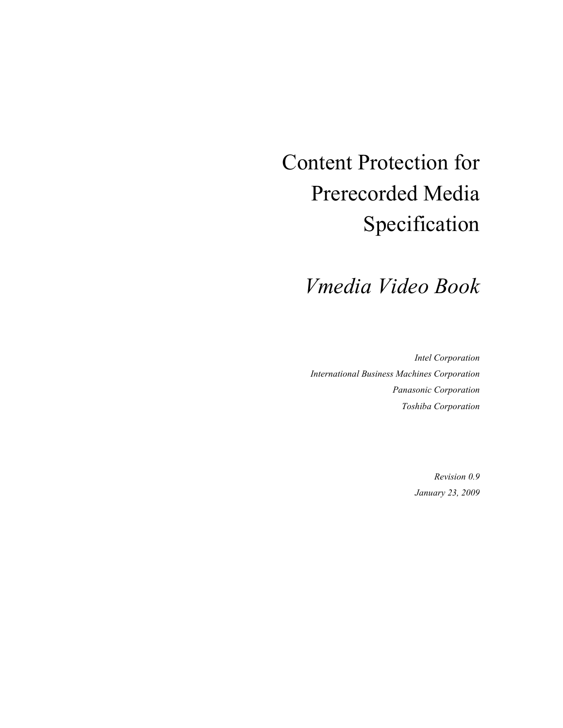# Content Protection for Prerecorded Media Specification

# *Vmedia Video Book*

*Intel Corporation International Business Machines Corporation Panasonic Corporation Toshiba Corporation* 

> *Revision 0.9 January 23, 2009*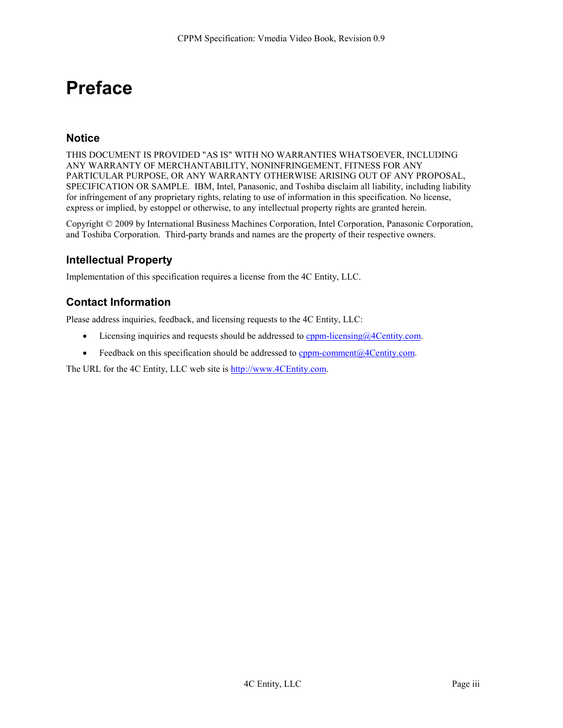### **Preface**

#### **Notice**

THIS DOCUMENT IS PROVIDED "AS IS" WITH NO WARRANTIES WHATSOEVER, INCLUDING ANY WARRANTY OF MERCHANTABILITY, NONINFRINGEMENT, FITNESS FOR ANY PARTICULAR PURPOSE, OR ANY WARRANTY OTHERWISE ARISING OUT OF ANY PROPOSAL, SPECIFICATION OR SAMPLE. IBM, Intel, Panasonic, and Toshiba disclaim all liability, including liability for infringement of any proprietary rights, relating to use of information in this specification. No license, express or implied, by estoppel or otherwise, to any intellectual property rights are granted herein.

Copyright © 2009 by International Business Machines Corporation, Intel Corporation, Panasonic Corporation, and Toshiba Corporation. Third-party brands and names are the property of their respective owners.

### **Intellectual Property**

Implementation of this specification requires a license from the 4C Entity, LLC.

#### **Contact Information**

Please address inquiries, feedback, and licensing requests to the 4C Entity, LLC:

- Licensing inquiries and requests should be addressed to  $cppm$ -licensing $@4Centity.com$ .
- Feedback on this specification should be addressed to  $cppm$ -comment $@4Centity.com$ .

The URL for the 4C Entity, LLC web site is http://www.4CEntity.com.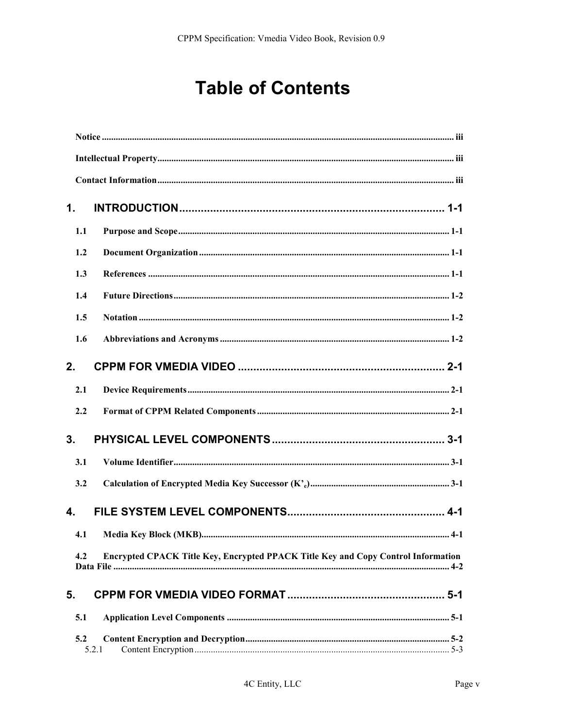# **Table of Contents**

| $\mathbf 1$ . |                                                                                   |
|---------------|-----------------------------------------------------------------------------------|
| 1.1           |                                                                                   |
| 1.2           |                                                                                   |
| 1.3           |                                                                                   |
| 1.4           |                                                                                   |
| 1.5           |                                                                                   |
| 1.6           |                                                                                   |
| 2.            |                                                                                   |
| 2.1           |                                                                                   |
| 2.2           |                                                                                   |
| 3.            |                                                                                   |
| 3.1           |                                                                                   |
| 3.2           |                                                                                   |
| 4.            |                                                                                   |
| 4.1           |                                                                                   |
| 4.2           | Encrypted CPACK Title Key, Encrypted PPACK Title Key and Copy Control Information |
| 5.            |                                                                                   |
| 5.1           |                                                                                   |
| 5.2           | 5.2.1                                                                             |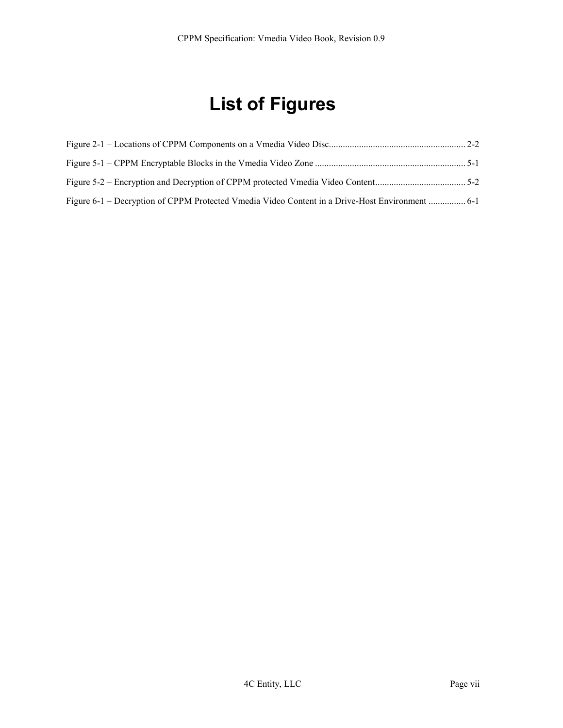# **List of Figures**

| Figure 6-1 – Decryption of CPPM Protected Vmedia Video Content in a Drive-Host Environment  6-1 |  |
|-------------------------------------------------------------------------------------------------|--|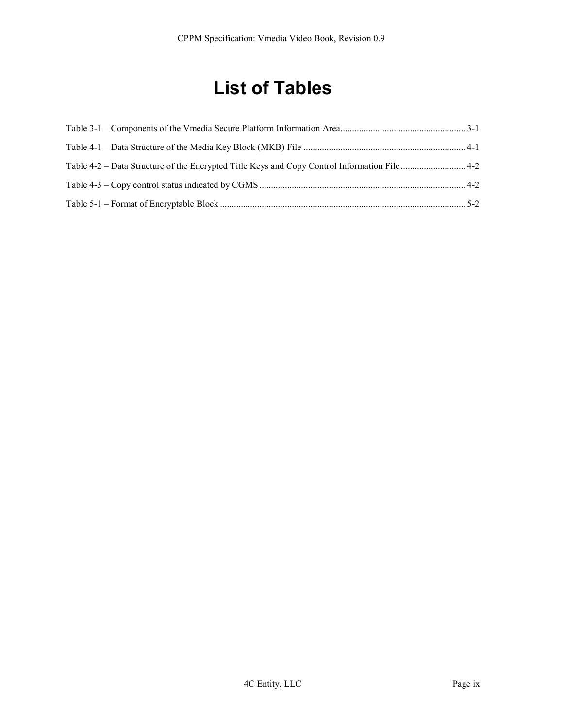### **List of Tables**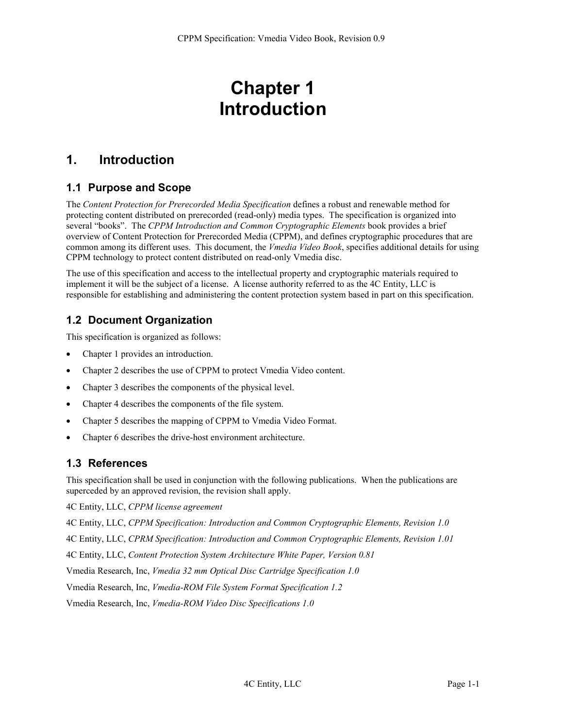# **Chapter 1 Introduction**

### **1. Introduction**

### **1.1 Purpose and Scope**

The *Content Protection for Prerecorded Media Specification* defines a robust and renewable method for protecting content distributed on prerecorded (read-only) media types. The specification is organized into several "books". The *CPPM Introduction and Common Cryptographic Elements* book provides a brief overview of Content Protection for Prerecorded Media (CPPM), and defines cryptographic procedures that are common among its different uses. This document, the *Vmedia Video Book*, specifies additional details for using CPPM technology to protect content distributed on read-only Vmedia disc.

The use of this specification and access to the intellectual property and cryptographic materials required to implement it will be the subject of a license. A license authority referred to as the 4C Entity, LLC is responsible for establishing and administering the content protection system based in part on this specification.

### **1.2 Document Organization**

This specification is organized as follows:

- Chapter 1 provides an introduction.
- Chapter 2 describes the use of CPPM to protect Vmedia Video content.
- Chapter 3 describes the components of the physical level.
- Chapter 4 describes the components of the file system.
- Chapter 5 describes the mapping of CPPM to Vmedia Video Format.
- Chapter 6 describes the drive-host environment architecture.

#### **1.3 References**

This specification shall be used in conjunction with the following publications. When the publications are superceded by an approved revision, the revision shall apply.

4C Entity, LLC, *CPPM license agreement*

4C Entity, LLC, *CPPM Specification: Introduction and Common Cryptographic Elements, Revision 1.0* 

4C Entity, LLC, *CPRM Specification: Introduction and Common Cryptographic Elements, Revision 1.01*

4C Entity, LLC, *Content Protection System Architecture White Paper, Version 0.81* 

Vmedia Research, Inc, *Vmedia 32 mm Optical Disc Cartridge Specification 1.0*

Vmedia Research, Inc, *Vmedia-ROM File System Format Specification 1.2*

Vmedia Research, Inc, *Vmedia-ROM Video Disc Specifications 1.0*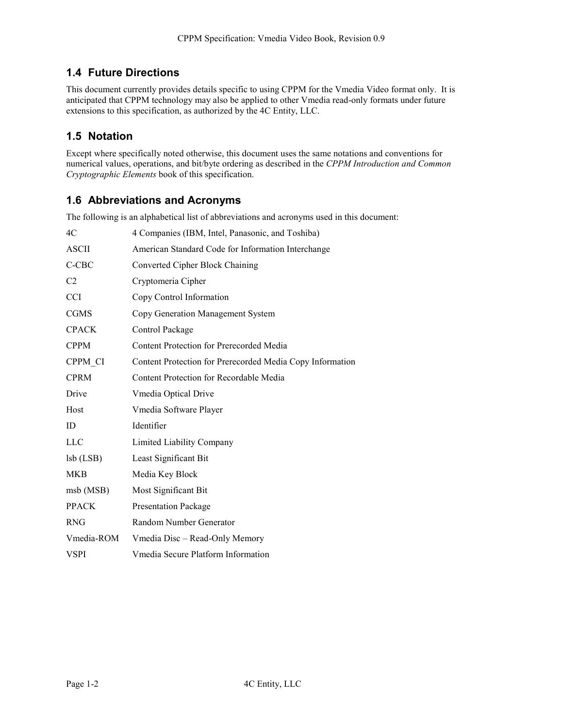#### **1.4 Future Directions**

This document currently provides details specific to using CPPM for the Vmedia Video format only. It is anticipated that CPPM technology may also be applied to other Vmedia read-only formats under future extensions to this specification, as authorized by the 4C Entity, LLC.

### **1.5 Notation**

Except where specifically noted otherwise, this document uses the same notations and conventions for numerical values, operations, and bit/byte ordering as described in the *CPPM Introduction and Common Cryptographic Elements* book of this specification.

#### **1.6 Abbreviations and Acronyms**

The following is an alphabetical list of abbreviations and acronyms used in this document:

| 4C                 | 4 Companies (IBM, Intel, Panasonic, and Toshiba)          |
|--------------------|-----------------------------------------------------------|
| ASCII              | American Standard Code for Information Interchange        |
| C-CBC              | Converted Cipher Block Chaining                           |
| C <sub>2</sub>     | Cryptomeria Cipher                                        |
| <b>CCI</b>         | Copy Control Information                                  |
| <b>CGMS</b>        | Copy Generation Management System                         |
| <b>CPACK</b>       | Control Package                                           |
| <b>CPPM</b>        | Content Protection for Prerecorded Media                  |
| CPPM CI            | Content Protection for Prerecorded Media Copy Information |
| <b>CPRM</b>        | Content Protection for Recordable Media                   |
| Drive              | Vmedia Optical Drive                                      |
| Host               | Vmedia Software Player                                    |
| ID                 | Identifier                                                |
| <b>LLC</b>         | Limited Liability Company                                 |
| $\text{lsb}$ (LSB) | Least Significant Bit                                     |
| <b>MKB</b>         | Media Key Block                                           |
| msb (MSB)          | Most Significant Bit                                      |
| <b>PPACK</b>       | <b>Presentation Package</b>                               |
| <b>RNG</b>         | Random Number Generator                                   |
| Vmedia-ROM         | Vmedia Disc - Read-Only Memory                            |
| VSPI               | Vmedia Secure Platform Information                        |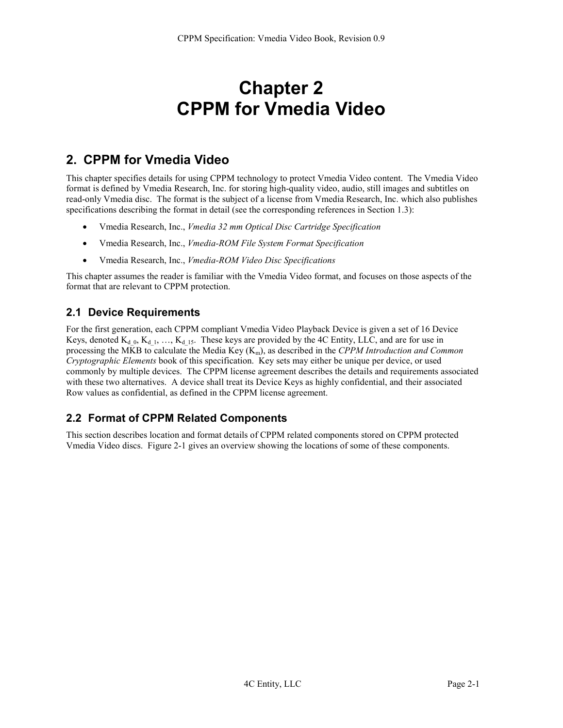### **Chapter 2 CPPM for Vmedia Video**

### **2. CPPM for Vmedia Video**

This chapter specifies details for using CPPM technology to protect Vmedia Video content. The Vmedia Video format is defined by Vmedia Research, Inc. for storing high-quality video, audio, still images and subtitles on read-only Vmedia disc. The format is the subject of a license from Vmedia Research, Inc. which also publishes specifications describing the format in detail (see the corresponding references in Section 1.3):

- Vmedia Research, Inc., *Vmedia 32 mm Optical Disc Cartridge Specification*
- Vmedia Research, Inc., *Vmedia-ROM File System Format Specification*
- Vmedia Research, Inc., *Vmedia-ROM Video Disc Specifications*

This chapter assumes the reader is familiar with the Vmedia Video format, and focuses on those aspects of the format that are relevant to CPPM protection.

#### **2.1 Device Requirements**

For the first generation, each CPPM compliant Vmedia Video Playback Device is given a set of 16 Device Keys, denoted  $K_{d_0}$ ,  $K_{d_1}$ , …,  $K_{d_1}$ <sub>15</sub>. These keys are provided by the 4C Entity, LLC, and are for use in processing the MKB to calculate the Media Key (Km), as described in the *CPPM Introduction and Common Cryptographic Elements* book of this specification. Key sets may either be unique per device, or used commonly by multiple devices. The CPPM license agreement describes the details and requirements associated with these two alternatives. A device shall treat its Device Keys as highly confidential, and their associated Row values as confidential, as defined in the CPPM license agreement.

### **2.2 Format of CPPM Related Components**

This section describes location and format details of CPPM related components stored on CPPM protected Vmedia Video discs. Figure 2-1 gives an overview showing the locations of some of these components.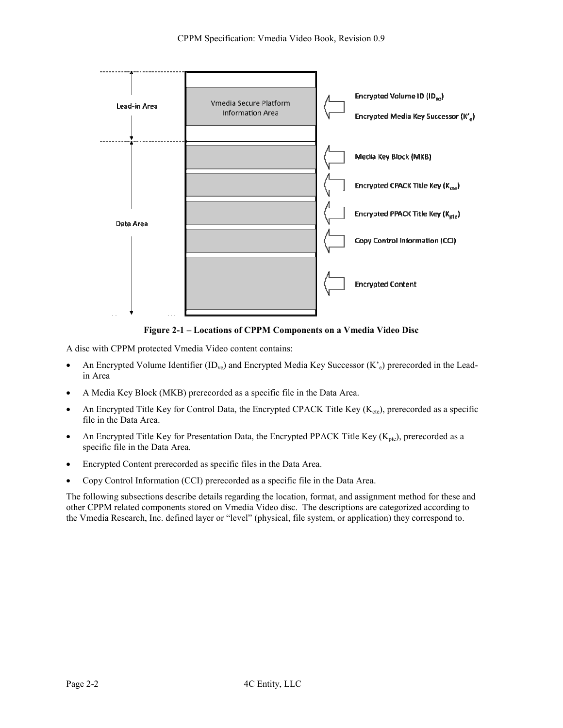

**Figure 2-1 – Locations of CPPM Components on a Vmedia Video Disc** 

A disc with CPPM protected Vmedia Video content contains:

- An Encrypted Volume Identifier  $(ID_{ve})$  and Encrypted Media Key Successor  $(K_{e})$  prerecorded in the Leadin Area
- A Media Key Block (MKB) prerecorded as a specific file in the Data Area.
- An Encrypted Title Key for Control Data, the Encrypted CPACK Title Key ( $K_{\text{cte}}$ ), prerecorded as a specific file in the Data Area.
- An Encrypted Title Key for Presentation Data, the Encrypted PPACK Title Key (K<sub>pte</sub>), prerecorded as a specific file in the Data Area.
- Encrypted Content prerecorded as specific files in the Data Area.
- Copy Control Information (CCI) prerecorded as a specific file in the Data Area.

The following subsections describe details regarding the location, format, and assignment method for these and other CPPM related components stored on Vmedia Video disc. The descriptions are categorized according to the Vmedia Research, Inc. defined layer or "level" (physical, file system, or application) they correspond to.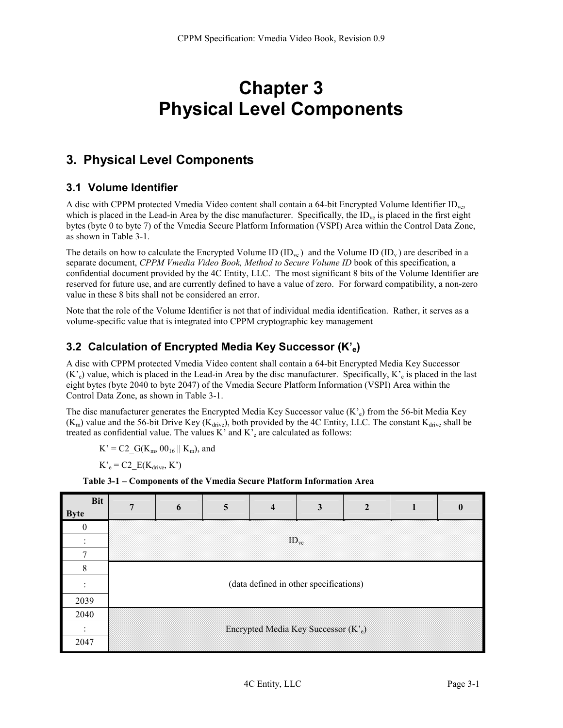# **Chapter 3 Physical Level Components**

### **3. Physical Level Components**

### **3.1 Volume Identifier**

A disc with CPPM protected Vmedia Video content shall contain a 64-bit Encrypted Volume Identifier IDve, which is placed in the Lead-in Area by the disc manufacturer. Specifically, the  $ID<sub>ve</sub>$  is placed in the first eight bytes (byte 0 to byte 7) of the Vmedia Secure Platform Information (VSPI) Area within the Control Data Zone, as shown in Table 3-1.

The details on how to calculate the Encrypted Volume ID  $(ID<sub>ve</sub>)$  and the Volume ID  $(ID<sub>v</sub>)$  are described in a separate document, *CPPM Vmedia Video Book, Method to Secure Volume ID* book of this specification, a confidential document provided by the 4C Entity, LLC. The most significant 8 bits of the Volume Identifier are reserved for future use, and are currently defined to have a value of zero. For forward compatibility, a non-zero value in these 8 bits shall not be considered an error.

Note that the role of the Volume Identifier is not that of individual media identification. Rather, it serves as a volume-specific value that is integrated into CPPM cryptographic key management

### **3.2 Calculation of Encrypted Media Key Successor (K'e)**

A disc with CPPM protected Vmedia Video content shall contain a 64-bit Encrypted Media Key Successor  $(K<sub>e</sub>)$  value, which is placed in the Lead-in Area by the disc manufacturer. Specifically,  $K<sub>e</sub>$  is placed in the last eight bytes (byte 2040 to byte 2047) of the Vmedia Secure Platform Information (VSPI) Area within the Control Data Zone, as shown in Table 3-1.

The disc manufacturer generates the Encrypted Media Key Successor value  $(K<sub>e</sub>)$  from the 56-bit Media Key  $(K_m)$  value and the 56-bit Drive Key ( $K_{drive}$ ), both provided by the 4C Entity, LLC. The constant  $K_{drive}$  shall be treated as confidential value. The values K' and  $K'_{e}$  are calculated as follows:

 $K' = C2$  G(K<sub>m</sub>, 00<sub>16</sub> || K<sub>m</sub>), and

 $K<sub>e</sub><sup>o</sup> = C2_E(K<sub>drive</sub>, K<sup>o</sup>)$ 

#### **Table 3-1 – Components of the Vmedia Secure Platform Information Area**

| <b>Bit</b><br><b>Byte</b> | 7 | 6                                                | 5 | $\overline{\mathbf{4}}$ | 3 | ר |  |  |  |  |  |
|---------------------------|---|--------------------------------------------------|---|-------------------------|---|---|--|--|--|--|--|
| $\theta$                  |   |                                                  |   |                         |   |   |  |  |  |  |  |
|                           |   | ID <sub>ve</sub>                                 |   |                         |   |   |  |  |  |  |  |
| 7                         |   |                                                  |   |                         |   |   |  |  |  |  |  |
| 8                         |   |                                                  |   |                         |   |   |  |  |  |  |  |
|                           |   | (data defined in other specifications)           |   |                         |   |   |  |  |  |  |  |
| 2039                      |   |                                                  |   |                         |   |   |  |  |  |  |  |
| 2040                      |   |                                                  |   |                         |   |   |  |  |  |  |  |
|                           |   | Encrypted Media Key Successor (K' <sub>e</sub> ) |   |                         |   |   |  |  |  |  |  |
| 2047                      |   |                                                  |   |                         |   |   |  |  |  |  |  |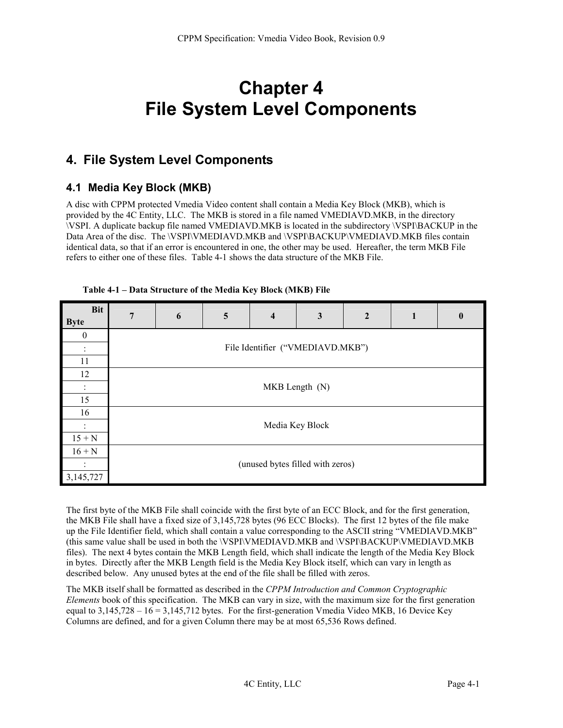# **Chapter 4 File System Level Components**

### **4. File System Level Components**

### **4.1 Media Key Block (MKB)**

A disc with CPPM protected Vmedia Video content shall contain a Media Key Block (MKB), which is provided by the 4C Entity, LLC. The MKB is stored in a file named VMEDIAVD.MKB, in the directory \VSPI. A duplicate backup file named VMEDIAVD.MKB is located in the subdirectory \VSPI\BACKUP in the Data Area of the disc. The \VSPI\VMEDIAVD.MKB and \VSPI\BACKUP\VMEDIAVD.MKB files contain identical data, so that if an error is encountered in one, the other may be used. Hereafter, the term MKB File refers to either one of these files. Table 4-1 shows the data structure of the MKB File.

| <b>Bit</b><br><b>Byte</b> | 7 | 6                                | 5 | $\overline{\mathbf{4}}$ | $\mathbf{3}$ | $\overline{2}$ | $\mathbf{1}$ | $\boldsymbol{0}$ |  |  |  |  |
|---------------------------|---|----------------------------------|---|-------------------------|--------------|----------------|--------------|------------------|--|--|--|--|
| $\bf{0}$                  |   | File Identifier ("VMEDIAVD.MKB") |   |                         |              |                |              |                  |  |  |  |  |
|                           |   |                                  |   |                         |              |                |              |                  |  |  |  |  |
| 11                        |   |                                  |   |                         |              |                |              |                  |  |  |  |  |
| 12                        |   |                                  |   |                         |              |                |              |                  |  |  |  |  |
|                           |   | MKB Length (N)                   |   |                         |              |                |              |                  |  |  |  |  |
| 15                        |   |                                  |   |                         |              |                |              |                  |  |  |  |  |
| 16                        |   |                                  |   |                         |              |                |              |                  |  |  |  |  |
|                           |   | Media Key Block                  |   |                         |              |                |              |                  |  |  |  |  |
| $15 + N$                  |   |                                  |   |                         |              |                |              |                  |  |  |  |  |
| $16 + N$                  |   |                                  |   |                         |              |                |              |                  |  |  |  |  |
|                           |   | (unused bytes filled with zeros) |   |                         |              |                |              |                  |  |  |  |  |
| 3,145,727                 |   |                                  |   |                         |              |                |              |                  |  |  |  |  |

**Table 4-1 – Data Structure of the Media Key Block (MKB) File** 

The first byte of the MKB File shall coincide with the first byte of an ECC Block, and for the first generation, the MKB File shall have a fixed size of 3,145,728 bytes (96 ECC Blocks). The first 12 bytes of the file make up the File Identifier field, which shall contain a value corresponding to the ASCII string "VMEDIAVD.MKB" (this same value shall be used in both the \VSPI\VMEDIAVD.MKB and \VSPI\BACKUP\VMEDIAVD.MKB files). The next 4 bytes contain the MKB Length field, which shall indicate the length of the Media Key Block in bytes. Directly after the MKB Length field is the Media Key Block itself, which can vary in length as described below. Any unused bytes at the end of the file shall be filled with zeros.

The MKB itself shall be formatted as described in the *CPPM Introduction and Common Cryptographic Elements* book of this specification. The MKB can vary in size, with the maximum size for the first generation equal to 3,145,728 – 16 = 3,145,712 bytes. For the first-generation Vmedia Video MKB, 16 Device Key Columns are defined, and for a given Column there may be at most 65,536 Rows defined.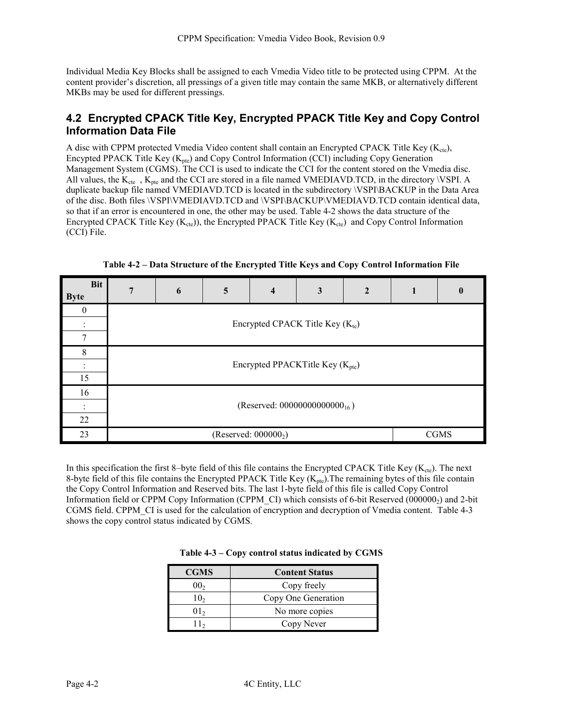Individual Media Key Blocks shall be assigned to each Vmedia Video title to be protected using CPPM. At the content provider's discretion, all pressings of a given title may contain the same MKB, or alternatively different MKBs may be used for different pressings.

#### **4.2 Encrypted CPACK Title Key, Encrypted PPACK Title Key and Copy Control Information Data File**

A disc with CPPM protected Vmedia Video content shall contain an Encrypted CPACK Title Key  $(K_{\text{cte}})$ , Encypted PPACK Title Key  $(K_{\text{pte}})$  and Copy Control Information (CCI) including Copy Generation Management System (CGMS). The CCI is used to indicate the CCI for the content stored on the Vmedia disc. All values, the  $K_{\text{cte}}$ ,  $K_{\text{pte}}$  and the CCI are stored in a file named VMEDIAVD.TCD, in the directory \VSPI. A duplicate backup file named VMEDIAVD.TCD is located in the subdirectory \VSPI\BACKUP in the Data Area of the disc. Both files \VSPI\VMEDIAVD.TCD and \VSPI\BACKUP\VMEDIAVD.TCD contain identical data, so that if an error is encountered in one, the other may be used. Table 4-2 shows the data structure of the Encrypted CPACK Title Key ( $K_{cte}$ )), the Encrypted PPACK Title Key ( $K_{cte}$ ) and Copy Control Information (CCI) File.

| <b>Bit</b><br><b>Byte</b> | 7 | 6                                            | 5 | $\boldsymbol{4}$                   | 3 | $\mathbf{2}$ |  |             |  |  |  |  |
|---------------------------|---|----------------------------------------------|---|------------------------------------|---|--------------|--|-------------|--|--|--|--|
| $\mathbf{0}$              |   |                                              |   |                                    |   |              |  |             |  |  |  |  |
|                           |   | Encrypted CPACK Title Key $(K_{te})$         |   |                                    |   |              |  |             |  |  |  |  |
| 7                         |   |                                              |   |                                    |   |              |  |             |  |  |  |  |
| 8                         |   |                                              |   |                                    |   |              |  |             |  |  |  |  |
|                           |   | Encrypted PPACKTitle Key (K <sub>pte</sub> ) |   |                                    |   |              |  |             |  |  |  |  |
| 15                        |   |                                              |   |                                    |   |              |  |             |  |  |  |  |
| 16                        |   |                                              |   |                                    |   |              |  |             |  |  |  |  |
|                           |   |                                              |   | (Reserved: $00000000000000_{16}$ ) |   |              |  |             |  |  |  |  |
| 22                        |   |                                              |   |                                    |   |              |  |             |  |  |  |  |
| 23                        |   |                                              |   | (Reserved: $000000_2$ )            |   |              |  | <b>CGMS</b> |  |  |  |  |

**Table 4-2 – Data Structure of the Encrypted Title Keys and Copy Control Information File** 

In this specification the first 8–byte field of this file contains the Encrypted CPACK Title Key ( $K_{\text{cte}}$ ). The next 8-byte field of this file contains the Encrypted PPACK Title Key  $(K_{\text{pt}})$ . The remaining bytes of this file contain the Copy Control Information and Reserved bits. The last 1-byte field of this file is called Copy Control Information field or CPPM Copy Information (CPPM\_CI) which consists of 6-bit Reserved (0000002) and 2-bit CGMS field. CPPM\_CI is used for the calculation of encryption and decryption of Vmedia content. Table 4-3 shows the copy control status indicated by CGMS.

**Table 4-3 – Copy control status indicated by CGMS** 

| <b>CGMS</b>     | <b>Content Status</b> |
|-----------------|-----------------------|
| 00 <sub>2</sub> | Copy freely           |
| 10,             | Copy One Generation   |
| 01,             | No more copies        |
| 11 <sub>2</sub> | Copy Never            |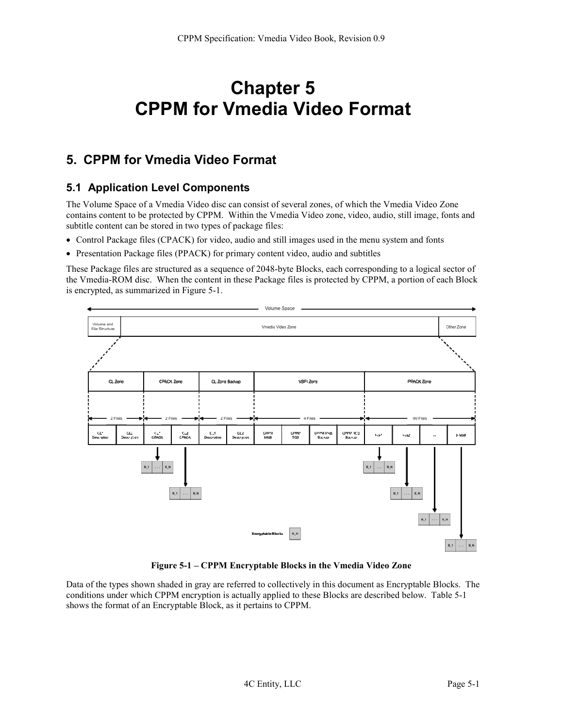# **Chapter 5 CPPM for Vmedia Video Format**

### **5. CPPM for Vmedia Video Format**

### **5.1 Application Level Components**

The Volume Space of a Vmedia Video disc can consist of several zones, of which the Vmedia Video Zone contains content to be protected by CPPM. Within the Vmedia Video zone, video, audio, still image, fonts and subtitle content can be stored in two types of package files:

- Control Package files (CPACK) for video, audio and still images used in the menu system and fonts
- Presentation Package files (PPACK) for primary content video, audio and subtitles

These Package files are structured as a sequence of 2048-byte Blocks, each corresponding to a logical sector of the Vmedia-ROM disc. When the content in these Package files is protected by CPPM, a portion of each Block is encrypted, as summarized in Figure 5-1.



**Figure 5-1 – CPPM Encryptable Blocks in the Vmedia Video Zone** 

Data of the types shown shaded in gray are referred to collectively in this document as Encryptable Blocks. The conditions under which CPPM encryption is actually applied to these Blocks are described below. Table 5-1 shows the format of an Encryptable Block, as it pertains to CPPM.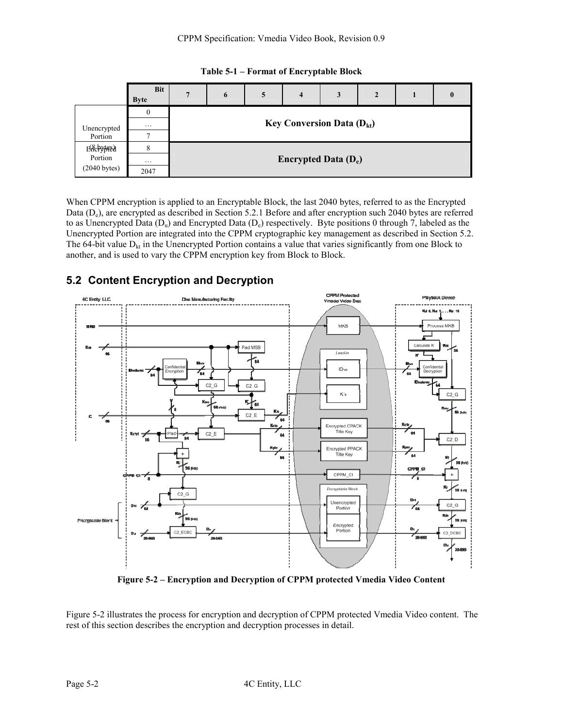|                        | <b>Bit</b><br><b>Byte</b> |                        | 6                                           | 5 | $\overline{\mathbf{4}}$ | 3 | $\mathbf{2}$ |  | $\mathbf{0}$ |  |  |
|------------------------|---------------------------|------------------------|---------------------------------------------|---|-------------------------|---|--------------|--|--------------|--|--|
|                        |                           |                        |                                             |   |                         |   |              |  |              |  |  |
| Unencrypted            | $\cdot \cdot \cdot$       |                        | <b>Key Conversion Data (D<sub>kt</sub>)</b> |   |                         |   |              |  |              |  |  |
| Portion                |                           |                        |                                             |   |                         |   |              |  |              |  |  |
| Encrypted              | 8                         |                        |                                             |   |                         |   |              |  |              |  |  |
| Portion                | $\cdots$                  | Encrypted Data $(D_e)$ |                                             |   |                         |   |              |  |              |  |  |
| $(2040 \text{ bytes})$ | 2047                      |                        |                                             |   |                         |   |              |  |              |  |  |

**Table 5-1 – Format of Encryptable Block** 

When CPPM encryption is applied to an Encryptable Block, the last 2040 bytes, referred to as the Encrypted Data (D<sub>e</sub>), are encrypted as described in Section 5.2.1 Before and after encryption such 2040 bytes are referred to as Unencrypted Data  $(D_u)$  and Encrypted Data  $(D_e)$  respectively. Byte positions 0 through 7, labeled as the Unencrypted Portion are integrated into the CPPM cryptographic key management as described in Section 5.2. The 64-bit value  $D_{kt}$  in the Unencrypted Portion contains a value that varies significantly from one Block to another, and is used to vary the CPPM encryption key from Block to Block.

**5.2 Content Encryption and Decryption** 



**Figure 5-2 – Encryption and Decryption of CPPM protected Vmedia Video Content** 

Figure 5-2 illustrates the process for encryption and decryption of CPPM protected Vmedia Video content. The rest of this section describes the encryption and decryption processes in detail.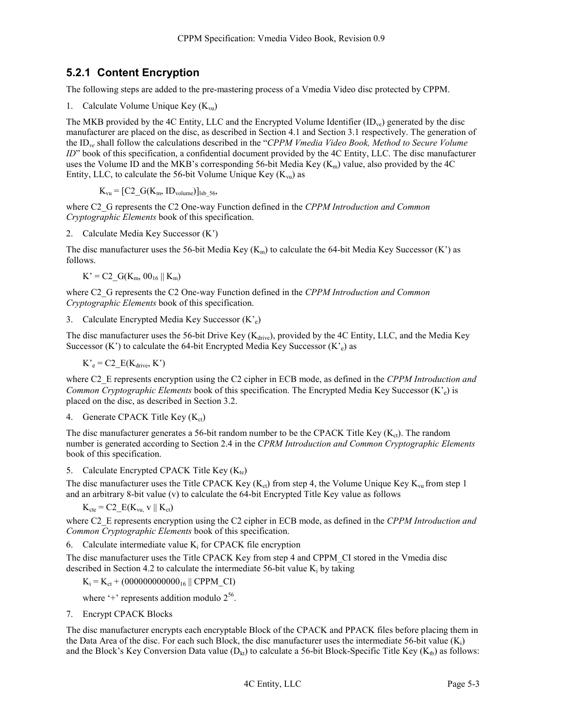#### **5.2.1 Content Encryption**

The following steps are added to the pre-mastering process of a Vmedia Video disc protected by CPPM.

1. Calculate Volume Unique Key  $(K_{vu})$ 

The MKB provided by the 4C Entity, LLC and the Encrypted Volume Identifier  $(ID_{ve})$  generated by the disc manufacturer are placed on the disc, as described in Section 4.1 and Section 3.1 respectively. The generation of the ID*ve* shall follow the calculations described in the "*CPPM Vmedia Video Book, Method to Secure Volume ID*" book of this specification, a confidential document provided by the 4C Entity, LLC. The disc manufacturer uses the Volume ID and the MKB's corresponding 56-bit Media Key  $(K_m)$  value, also provided by the 4C Entity, LLC, to calculate the 56-bit Volume Unique Key  $(K_{vu})$  as

 $K_{vu} = [C2 \ G(K_m, ID_{volume})]_{lsb}$  56,

where C2\_G represents the C2 One-way Function defined in the *CPPM Introduction and Common Cryptographic Elements* book of this specification.

2. Calculate Media Key Successor (K')

The disc manufacturer uses the 56-bit Media Key  $(K_m)$  to calculate the 64-bit Media Key Successor (K') as follows.

 $K' = C2$   $G(K_m, 00_{16} || K_m)$ 

where C2\_G represents the C2 One-way Function defined in the *CPPM Introduction and Common Cryptographic Elements* book of this specification.

3. Calculate Encrypted Media Key Successor (K'e)

The disc manufacturer uses the 56-bit Drive Key ( $K_{\text{drive}}$ ), provided by the 4C Entity, LLC, and the Media Key Successor (K') to calculate the 64-bit Encrypted Media Key Successor (K'<sub>e</sub>) as

$$
K_e^* = C2_E(K_{drive}, K')
$$

where C2\_E represents encryption using the C2 cipher in ECB mode, as defined in the *CPPM Introduction and Common Cryptographic Elements* book of this specification. The Encrypted Media Key Successor (K'<sub>e</sub>) is placed on the disc, as described in Section 3.2.

4. Generate CPACK Title Key  $(K_{ct})$ 

The disc manufacturer generates a 56-bit random number to be the CPACK Title Key  $(K_{\text{ct}})$ . The random number is generated according to Section 2.4 in the *CPRM Introduction and Common Cryptographic Elements* book of this specification.

5. Calculate Encrypted CPACK Title Key  $(K_{te})$ 

The disc manufacturer uses the Title CPACK Key ( $K_{ct}$ ) from step 4, the Volume Unique Key  $K_{vu}$  from step 1 and an arbitrary 8-bit value (v) to calculate the 64-bit Encrypted Title Key value as follows

 $K_{\text{cte}} = C2 E(K_{\text{vu}} \text{ v} || K_{\text{ct}})$ 

where C2\_E represents encryption using the C2 cipher in ECB mode, as defined in the *CPPM Introduction and Common Cryptographic Elements* book of this specification.

6. Calculate intermediate value  $K_i$  for CPACK file encryption

The disc manufacturer uses the Title CPACK Key from step 4 and CPPM\_CI stored in the Vmedia disc described in Section 4.2 to calculate the intermediate 56-bit value  $K_i$  by taking

 $K_i = K_{ct} + (000000000000_{16} \parallel \text{CPPM\_CI})$ 

where  $+$  represents addition modulo  $2^{56}$ .

7. Encrypt CPACK Blocks

The disc manufacturer encrypts each encryptable Block of the CPACK and PPACK files before placing them in the Data Area of the disc. For each such Block, the disc manufacturer uses the intermediate 56-bit value  $(K_i)$ and the Block's Key Conversion Data value  $(D_{kt})$  to calculate a 56-bit Block-Specific Title Key ( $K_{tb}$ ) as follows: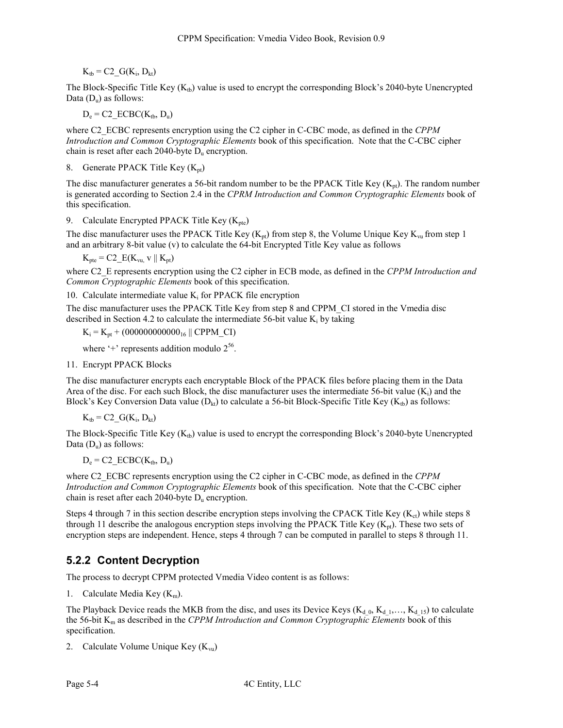$K_{tb} = C2_G(K_i, D_{kt})$ 

The Block-Specific Title Key  $(K<sub>th</sub>)$  value is used to encrypt the corresponding Block's 2040-byte Unencrypted Data  $(D_u)$  as follows:

 $D_e = C2\_ECBC(K_{tb}, D_u)$ 

where C2\_ECBC represents encryption using the C2 cipher in C-CBC mode, as defined in the *CPPM Introduction and Common Cryptographic Elements* book of this specification. Note that the C-CBC cipher chain is reset after each 2040-byte  $D<sub>u</sub>$  encryption.

8. Generate PPACK Title Key  $(K_{nt})$ 

The disc manufacturer generates a 56-bit random number to be the PPACK Title Key ( $K_{pt}$ ). The random number is generated according to Section 2.4 in the *CPRM Introduction and Common Cryptographic Elements* book of this specification.

9. Calculate Encrypted PPACK Title Key  $(K_{\text{pte}})$ 

The disc manufacturer uses the PPACK Title Key ( $K_{pt}$ ) from step 8, the Volume Unique Key  $K_{vu}$  from step 1 and an arbitrary 8-bit value (v) to calculate the 64-bit Encrypted Title Key value as follows

 $K_{\text{pte}} = C2_E(K_{\text{vu}} \text{ v} \parallel K_{\text{pt}})$ 

where C2\_E represents encryption using the C2 cipher in ECB mode, as defined in the *CPPM Introduction and Common Cryptographic Elements* book of this specification.

10. Calculate intermediate value  $K_i$  for PPACK file encryption

The disc manufacturer uses the PPACK Title Key from step 8 and CPPM\_CI stored in the Vmedia disc described in Section 4.2 to calculate the intermediate 56-bit value  $K_i$  by taking

 $K_i = K_{pt} + (000000000000_{16} || CPPM_CI)$ 

where  $+$  represents addition modulo  $2^{56}$ .

11. Encrypt PPACK Blocks

The disc manufacturer encrypts each encryptable Block of the PPACK files before placing them in the Data Area of the disc. For each such Block, the disc manufacturer uses the intermediate 56-bit value  $(K_i)$  and the Block's Key Conversion Data value  $(D_{kt})$  to calculate a 56-bit Block-Specific Title Key ( $K_{tt}$ ) as follows:

$$
K_{tb} = C2_G(K_i, D_{kt})
$$

The Block-Specific Title Key ( $K<sub>tb</sub>$ ) value is used to encrypt the corresponding Block's 2040-byte Unencrypted Data  $(D_u)$  as follows:

 $D_e = C2\_ECBC(K_{tb}, D_u)$ 

where C2\_ECBC represents encryption using the C2 cipher in C-CBC mode, as defined in the *CPPM Introduction and Common Cryptographic Elements* book of this specification. Note that the C-CBC cipher chain is reset after each 2040-byte  $D<sub>u</sub>$  encryption.

Steps 4 through 7 in this section describe encryption steps involving the CPACK Title Key ( $K_{ct}$ ) while steps 8 through 11 describe the analogous encryption steps involving the PPACK Title Key  $(K_{pt})$ . These two sets of encryption steps are independent. Hence, steps 4 through 7 can be computed in parallel to steps 8 through 11.

#### **5.2.2 Content Decryption**

The process to decrypt CPPM protected Vmedia Video content is as follows:

1. Calculate Media Key  $(K_m)$ .

The Playback Device reads the MKB from the disc, and uses its Device Keys ( $K_{d,0}$ ,  $K_{d,1}$ ,...,  $K_{d,15}$ ) to calculate the 56-bit Km as described in the *CPPM Introduction and Common Cryptographic Elements* book of this specification.

2. Calculate Volume Unique Key  $(K_{vu})$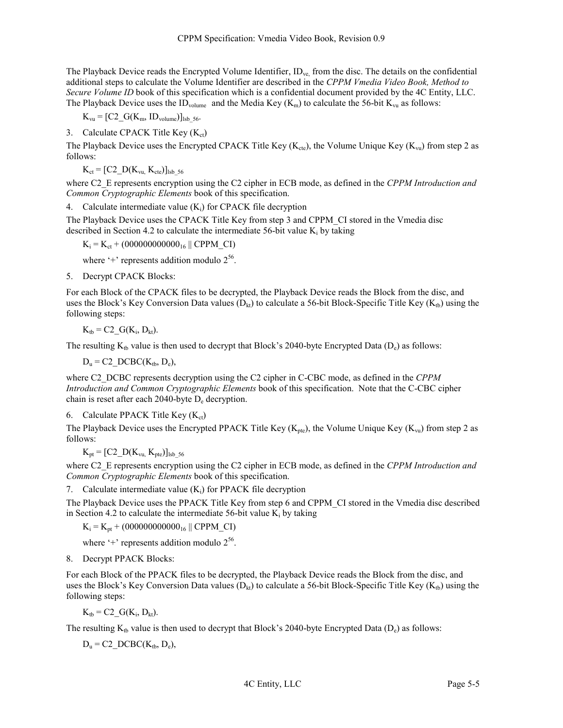The Playback Device reads the Encrypted Volume Identifier, IDve, from the disc. The details on the confidential additional steps to calculate the Volume Identifier are described in the *CPPM Vmedia Video Book, Method to Secure Volume ID* book of this specification which is a confidential document provided by the 4C Entity, LLC. The Playback Device uses the ID<sub>volume</sub> and the Media Key ( $K_m$ ) to calculate the 56-bit  $K_{vu}$  as follows:

 $K_{vu} = [C2_G(K_m, ID_{volume})]_{lsb}$  56.

3. Calculate CPACK Title Key  $(K_{ct})$ 

The Playback Device uses the Encrypted CPACK Title Key ( $K_{ct}$ ), the Volume Unique Key ( $K_{vu}$ ) from step 2 as follows:

 $K_{ct} = [C2_D(K_{vu}, K_{cte})]_{lsb}$  56

where C2\_E represents encryption using the C2 cipher in ECB mode, as defined in the *CPPM Introduction and Common Cryptographic Elements* book of this specification.

4. Calculate intermediate value  $(K_i)$  for CPACK file decryption

The Playback Device uses the CPACK Title Key from step 3 and CPPM\_CI stored in the Vmedia disc described in Section 4.2 to calculate the intermediate 56-bit value  $K_i$  by taking

 $K_i = K_{ct} + (000000000000_{16} || CPPM_CI)$ 

where  $+$  represents addition modulo  $2^{56}$ .

5. Decrypt CPACK Blocks:

For each Block of the CPACK files to be decrypted, the Playback Device reads the Block from the disc, and uses the Block's Key Conversion Data values ( $D_{kt}$ ) to calculate a 56-bit Block-Specific Title Key ( $K_{tb}$ ) using the following steps:

 $K_{tb} = C2_G(K_i, D_{kt}).$ 

The resulting  $K_{tb}$  value is then used to decrypt that Block's 2040-byte Encrypted Data (D<sub>e</sub>) as follows:

 $D_u = C2$  DCBC( $K_{tb}$ ,  $D_e$ ),

where C2\_DCBC represents decryption using the C2 cipher in C-CBC mode, as defined in the *CPPM Introduction and Common Cryptographic Elements* book of this specification. Note that the C-CBC cipher chain is reset after each  $2040$ -byte  $D_e$  decryption.

#### 6. Calculate PPACK Title Key  $(K_{ct})$

The Playback Device uses the Encrypted PPACK Title Key ( $K_{pt}$ ), the Volume Unique Key ( $K_{vu}$ ) from step 2 as follows:

 $K_{pt} = [C2_D(K_{vu}, K_{pte})]_{lsb}$  56

where C2\_E represents encryption using the C2 cipher in ECB mode, as defined in the *CPPM Introduction and Common Cryptographic Elements* book of this specification.

7. Calculate intermediate value  $(K_i)$  for PPACK file decryption

The Playback Device uses the PPACK Title Key from step 6 and CPPM\_CI stored in the Vmedia disc described in Section 4.2 to calculate the intermediate 56-bit value  $K_i$  by taking

 $K_i = K_{pt} + (000000000000_{16} \parallel \text{CPPM\_CI})$ 

where  $+$  represents addition modulo  $2^{56}$ .

8. Decrypt PPACK Blocks:

For each Block of the PPACK files to be decrypted, the Playback Device reads the Block from the disc, and uses the Block's Key Conversion Data values ( $D_{kt}$ ) to calculate a 56-bit Block-Specific Title Key ( $K_{tb}$ ) using the following steps:

 $K_{tb} = C2_G(K_i, D_{kt}).$ 

The resulting  $K_{th}$  value is then used to decrypt that Block's 2040-byte Encrypted Data (D<sub>e</sub>) as follows:

 $D_u = C2$  DCBC( $K_{tb}$ ,  $D_e$ ),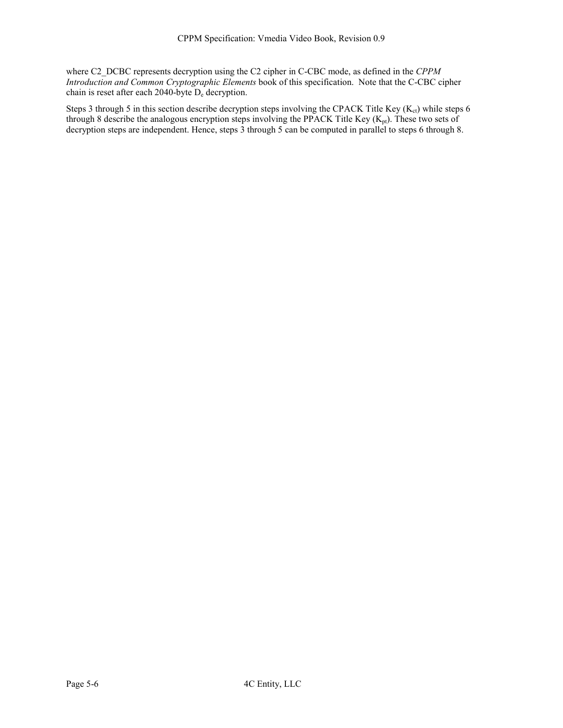where C2\_DCBC represents decryption using the C2 cipher in C-CBC mode, as defined in the *CPPM Introduction and Common Cryptographic Elements* book of this specification. Note that the C-CBC cipher chain is reset after each 2040-byte  $D_e$  decryption.

Steps 3 through 5 in this section describe decryption steps involving the CPACK Title Key ( $K_{ct}$ ) while steps 6 through 8 describe the analogous encryption steps involving the PPACK Title Key  $(K_{pt})$ . These two sets of decryption steps are independent. Hence, steps 3 through 5 can be computed in parallel to steps 6 through 8.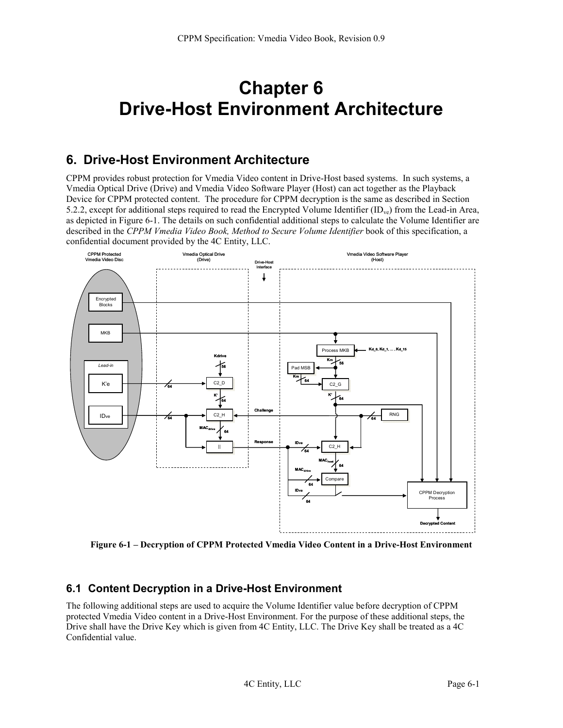# **Chapter 6 Drive-Host Environment Architecture**

### **6. Drive-Host Environment Architecture**

CPPM provides robust protection for Vmedia Video content in Drive-Host based systems. In such systems, a Vmedia Optical Drive (Drive) and Vmedia Video Software Player (Host) can act together as the Playback Device for CPPM protected content. The procedure for CPPM decryption is the same as described in Section 5.2.2, except for additional steps required to read the Encrypted Volume Identifier  $(ID<sub>ve</sub>)$  from the Lead-in Area, as depicted in Figure 6-1. The details on such confidential additional steps to calculate the Volume Identifier are described in the *CPPM Vmedia Video Book, Method to Secure Volume Identifier* book of this specification, a confidential document provided by the 4C Entity, LLC.



**Figure 6-1 – Decryption of CPPM Protected Vmedia Video Content in a Drive-Host Environment** 

### **6.1 Content Decryption in a Drive-Host Environment**

The following additional steps are used to acquire the Volume Identifier value before decryption of CPPM protected Vmedia Video content in a Drive-Host Environment. For the purpose of these additional steps, the Drive shall have the Drive Key which is given from 4C Entity, LLC. The Drive Key shall be treated as a 4C Confidential value.